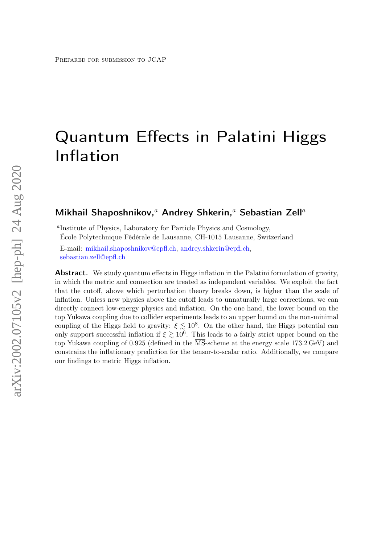# Quantum Effects in Palatini Higgs Inflation

# Mikhail Shaposhnikov,<sup>a</sup> Andrey Shkerin,<sup>a</sup> Sebastian Zell<sup>a</sup>

a Institute of Physics, Laboratory for Particle Physics and Cosmology, École Polytechnique Fédérale de Lausanne, CH-1015 Lausanne, Switzerland

E-mail: [mikhail.shaposhnikov@epfl.ch,](mailto:mikhail.shaposhnikov@epfl.ch) [andrey.shkerin@epfl.ch,](mailto:andrey.shkerin@epfl.ch) [sebastian.zell@epfl.ch](mailto:sebastian.zell@epfl.ch)

**Abstract.** We study quantum effects in Higgs inflation in the Palatini formulation of gravity, in which the metric and connection are treated as independent variables. We exploit the fact that the cutoff, above which perturbation theory breaks down, is higher than the scale of inflation. Unless new physics above the cutoff leads to unnaturally large corrections, we can directly connect low-energy physics and inflation. On the one hand, the lower bound on the top Yukawa coupling due to collider experiments leads to an upper bound on the non-minimal coupling of the Higgs field to gravity:  $\xi \lesssim 10^8$ . On the other hand, the Higgs potential can only support successful inflation if  $\xi \gtrsim 10^6$ . This leads to a fairly strict upper bound on the top Yukawa coupling of 0.925 (defined in the  $\overline{\text{MS}}$ -scheme at the energy scale 173.2 GeV) and constrains the inflationary prediction for the tensor-to-scalar ratio. Additionally, we compare our findings to metric Higgs inflation.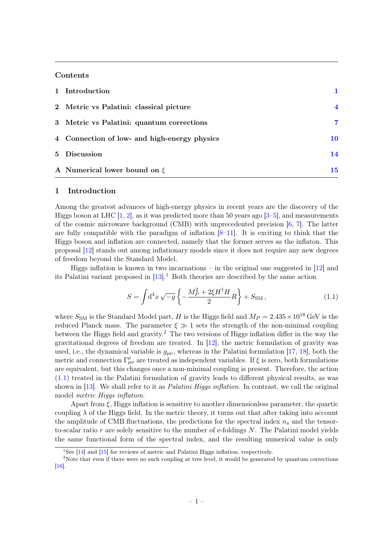# **Contents**

| 1 Introduction                               |                  |
|----------------------------------------------|------------------|
| 2 Metric vs Palatini: classical picture      | $\boldsymbol{4}$ |
| 3 Metric vs Palatini: quantum corrections    | 7                |
| 4 Connection of low- and high-energy physics | 10               |
| 5 Discussion                                 | 14               |
| A Numerical lower bound on $\xi$             | 15               |

# <span id="page-1-0"></span>1 Introduction

Among the greatest advances of high-energy physics in recent years are the discovery of the Higgs boson at LHC  $[1, 2]$  $[1, 2]$  $[1, 2]$ , as it was predicted more than 50 years ago  $[3-5]$  $[3-5]$ , and measurements of the cosmic microwave background (CMB) with unprecedented precision  $[6, 7]$  $[6, 7]$  $[6, 7]$ . The latter are fully compatible with the paradigm of inflation  $[8-11]$  $[8-11]$ . It is exciting to think that the Higgs boson and inflation are connected, namely that the former serves as the inflaton. This proposal [\[12\]](#page-17-1) stands out among inflationary models since it does not require any new degrees of freedom beyond the Standard Model.

Higgs inflation is known in two incarnations – in the original one suggested in  $[12]$  and its Palatini variant proposed in  $[13]$ .<sup>[1](#page-1-1)</sup> Both theories are described by the same action

<span id="page-1-3"></span>
$$
S = \int d^4x \sqrt{-g} \left\{ -\frac{M_P^2 + 2\xi H^\dagger H}{2} R \right\} + S_{\text{SM}} , \qquad (1.1)
$$

where  $S_{\text{SM}}$  is the Standard Model part, H is the Higgs field and  $M_P = 2.435 \times 10^{18}$  GeV is the reduced Planck mass. The parameter  $\xi \gg 1$  sets the strength of the non-minimal coupling between the Higgs field and gravity.<sup>[2](#page-1-2)</sup> The two versions of Higgs inflation differ in the way the gravitational degrees of freedom are treated. In [\[12\]](#page-17-1), the metric formulation of gravity was used, i.e., the dynamical variable is  $g_{\mu\nu}$ , whereas in the Palatini formulation [\[17,](#page-17-3) [18\]](#page-17-4), both the metric and connection  $\Gamma^{\rho}_{\mu\nu}$  are treated as independent variables. If  $\xi$  is zero, both formulations are equivalent, but this changes once a non-minimal coupling is present. Therefore, the action [\(1.1\)](#page-1-3) treated in the Palatini formulation of gravity leads to different physical results, as was shown in [\[13\]](#page-17-2). We shall refer to it as *Palatini Higgs inflation*. In contrast, we call the original model metric Higgs inflation.

Apart from  $\xi$ , Higgs inflation is sensitive to another dimensionless parameter, the quartic coupling  $\lambda$  of the Higgs field. In the metric theory, it turns out that after taking into account the amplitude of CMB fluctuations, the predictions for the spectral index  $n_s$  and the tensorto-scalar ratio  $r$  are solely sensitive to the number of e-foldings  $N$ . The Palatini model yields the same functional form of the spectral index, and the resulting numerical value is only

<span id="page-1-2"></span><span id="page-1-1"></span><sup>&</sup>lt;sup>1</sup>See [\[14\]](#page-17-5) and [\[15\]](#page-17-6) for reviews of metric and Palatini Higgs inflation, respectively.

<sup>&</sup>lt;sup>2</sup>Note that even if there were no such coupling at tree level, it would be generated by quantum corrections [\[16\]](#page-17-7).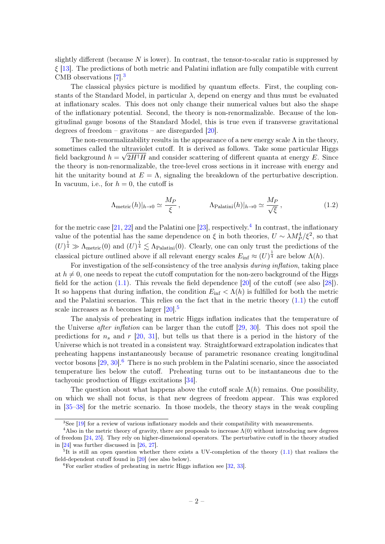slightly different (because  $N$  is lower). In contrast, the tensor-to-scalar ratio is suppressed by  $\xi$  [\[13\]](#page-17-2). The predictions of both metric and Palatini inflation are fully compatible with current CMB observations [\[7\]](#page-16-5).[3](#page-2-0)

The classical physics picture is modified by quantum effects. First, the coupling constants of the Standard Model, in particular  $\lambda$ , depend on energy and thus must be evaluated at inflationary scales. This does not only change their numerical values but also the shape of the inflationary potential. Second, the theory is non-renormalizable. Because of the longitudinal gauge bosons of the Standard Model, this is true even if transverse gravitational degrees of freedom – gravitons – are disregarded [\[20\]](#page-17-8).

The non-renormalizability results in the appearance of a new energy scale  $\Lambda$  in the theory, sometimes called the ultraviolet cutoff. It is derived as follows. Take some particular Higgs field background  $h = \sqrt{2H^{\dagger}H}$  and consider scattering of different quanta at energy E. Since the theory is non-renormalizable, the tree-level cross sections in it increase with energy and hit the unitarity bound at  $E = \Lambda$ , signaling the breakdown of the perturbative description. In vacuum, i.e., for  $h = 0$ , the cutoff is

<span id="page-2-4"></span>
$$
\Lambda_{\text{metric}}(h)|_{h\to 0} \simeq \frac{M_P}{\xi}, \qquad \Lambda_{\text{Palatini}}(h)|_{h\to 0} \simeq \frac{M_P}{\sqrt{\xi}}, \qquad (1.2)
$$

for the metric case  $[21, 22]$  $[21, 22]$  $[21, 22]$  and the Palatini one  $[23]$ , respectively.<sup>[4](#page-2-1)</sup> In contrast, the inflationary value of the potential has the same dependence on  $\xi$  in both theories,  $U \sim \lambda M_P^4/\xi^2$ , so that  $(U)^{\frac{1}{4}} \gg \Lambda_{\text{metric}}(0)$  and  $(U)^{\frac{1}{4}} \lesssim \Lambda_{\text{Palatini}}(0)$ . Clearly, one can only trust the predictions of the classical picture outlined above if all relevant energy scales  $E_{\text{inf}} \approx (U)^{\frac{1}{4}}$  are below  $\Lambda(h)$ .

For investigation of the self-consistency of the tree analysis *during inflation*, taking place at  $h \neq 0$ , one needs to repeat the cutoff computation for the non-zero background of the Higgs field for the action  $(1.1)$ . This reveals the field dependence  $[20]$  of the cutoff (see also  $[28]$ ). It so happens that during inflation, the condition  $E_{\text{inf}} < \Lambda(h)$  is fulfilled for both the metric and the Palatini scenarios. This relies on the fact that in the metric theory  $(1.1)$  the cutoff scale increases as h becomes larger  $[20]$ <sup>[5](#page-2-2)</sup>

The analysis of preheating in metric Higgs inflation indicates that the temperature of the Universe after inflation can be larger than the cutoff [\[29,](#page-17-13) [30\]](#page-17-14). This does not spoil the predictions for  $n_s$  and  $r$  [\[20,](#page-17-8) [31\]](#page-17-15), but tells us that there is a period in the history of the Universe which is not treated in a consistent way. Straightforward extrapolation indicates that preheating happens instantaneously because of parametric resonance creating longitudinal vector bosons  $[29, 30]$  $[29, 30]$  $[29, 30]$ .<sup>[6](#page-2-3)</sup> There is no such problem in the Palatini scenario, since the associated temperature lies below the cutoff. Preheating turns out to be instantaneous due to the tachyonic production of Higgs excitations [\[34\]](#page-18-0).

The question about what happens above the cutoff scale  $\Lambda(h)$  remains. One possibility, on which we shall not focus, is that new degrees of freedom appear. This was explored in [\[35](#page-18-1)[–38\]](#page-18-2) for the metric scenario. In those models, the theory stays in the weak coupling

<span id="page-2-1"></span><span id="page-2-0"></span> $3$ See [\[19\]](#page-17-16) for a review of various inflationary models and their compatibility with measurements.

<sup>&</sup>lt;sup>4</sup>Also in the metric theory of gravity, there are proposals to increase  $\Lambda(0)$  without introducing new degrees of freedom [\[24,](#page-17-17) [25\]](#page-17-18). They rely on higher-dimensional operators. The perturbative cutoff in the theory studied in [\[24\]](#page-17-17) was further discussed in [\[26,](#page-17-19) [27\]](#page-17-20).

<span id="page-2-2"></span> ${}^{5}$ It is still an open question whether there exists a UV-completion of the theory [\(1.1\)](#page-1-3) that realizes the field-dependent cutoff found in [\[20\]](#page-17-8) (see also below).

<span id="page-2-3"></span> ${}^{6}$ For earlier studies of preheating in metric Higgs inflation see [\[32,](#page-17-21) [33\]](#page-18-3).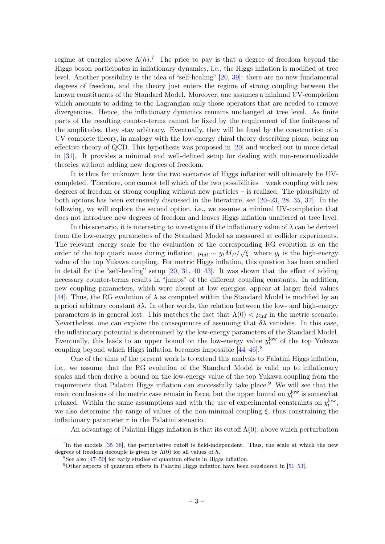regime at energies above  $\Lambda(h)$ .<sup>[7](#page-3-0)</sup> The price to pay is that a degree of freedom beyond the Higgs boson participates in inflationary dynamics, i.e., the Higgs inflation is modified at tree level. Another possibility is the idea of "self-healing" [\[20,](#page-17-8) [39\]](#page-18-4): there are no new fundamental degrees of freedom, and the theory just enters the regime of strong coupling between the known constituents of the Standard Model. Moreover, one assumes a minimal UV-completion which amounts to adding to the Lagrangian only those operators that are needed to remove divergencies. Hence, the inflationary dynamics remains unchanged at tree level. As finite parts of the resulting counter-terms cannot be fixed by the requirement of the finiteness of the amplitudes, they stay arbitrary. Eventually, they will be fixed by the construction of a UV complete theory, in analogy with the low-energy chiral theory describing pions, being an effective theory of QCD. This hypothesis was proposed in [\[20\]](#page-17-8) and worked out in more detail in [\[31\]](#page-17-15). It provides a minimal and well-defined setup for dealing with non-renormalizable theories without adding new degrees of freedom.

It is thus far unknown how the two scenarios of Higgs inflation will ultimately be UVcompleted. Therefore, one cannot tell which of the two possibilities – weak coupling with new degrees of freedom or strong coupling without new particles – is realized. The plausibility of both options has been extensively discussed in the literature, see [\[20–](#page-17-8)[23,](#page-17-11) [28,](#page-17-12) [35,](#page-18-1) [37\]](#page-18-5). In the following, we will explore the second option, i.e., we assume a minimal UV-completion that does not introduce new degrees of freedom and leaves Higgs inflation unaltered at tree level.

In this scenario, it is interesting to investigate if the inflationary value of  $\lambda$  can be derived from the low-energy parameters of the Standard Model as measured at collider experiments. The relevant energy scale for the evaluation of the corresponding RG evolution is on the order of the top quark mass during inflation,  $\mu_{\text{inf}} \sim y_t M_P / \sqrt{\xi}$ , where  $y_t$  is the high-energy value of the top Yukawa coupling. For metric Higgs inflation, this question has been studied in detail for the "self-healing" setup [\[20,](#page-17-8) [31,](#page-17-15) [40–](#page-18-6)[43\]](#page-18-7). It was shown that the effect of adding necessary counter-terms results in "jumps" of the different coupling constants. In addition, new coupling parameters, which were absent at low energies, appear at larger field values [\[44\]](#page-18-8). Thus, the RG evolution of  $\lambda$  as computed within the Standard Model is modified by an a priori arbitrary constant  $\delta \lambda$ . In other words, the relation between the low- and high-energy parameters is in general lost. This matches the fact that  $\Lambda(0) < \mu_{\text{inf}}$  in the metric scenario. Nevertheless, one can explore the consequences of assuming that  $\delta\lambda$  vanishes. In this case, the inflationary potential is determined by the low-energy parameters of the Standard Model. Eventually, this leads to an upper bound on the low-energy value  $y_t^{\text{low}}$  of the top Yukawa coupling beyond which Higgs inflation becomes impossible [\[44–](#page-18-8)[46\]](#page-18-9).[8](#page-3-1)

One of the aims of the present work is to extend this analysis to Palatini Higgs inflation, i.e., we assume that the RG evolution of the Standard Model is valid up to inflationary scales and then derive a bound on the low-energy value of the top Yukawa coupling from the requirement that Palatini Higgs inflation can successfully take place.[9](#page-3-2) We will see that the main conclusions of the metric case remain in force, but the upper bound on  $y_t^{\text{low}}$  is somewhat relaxed. Within the same assumptions and with the use of experimental constraints on  $y_t^{\text{low}}$ , we also determine the range of values of the non-minimal coupling  $\xi$ , thus constraining the inflationary parameter  $r$  in the Palatini scenario.

An advantage of Palatini Higgs inflation is that its cutoff  $\Lambda(0)$ , above which perturbation

<span id="page-3-0"></span><sup>&</sup>lt;sup>7</sup>In the models [\[35–](#page-18-1)[38\]](#page-18-2), the perturbative cutoff is field-independent. Thus, the scale at which the new degrees of freedom decouple is given by  $\Lambda(0)$  for all values of h.

<span id="page-3-1"></span><sup>8</sup>See also [\[47–](#page-18-10)[50\]](#page-18-11) for early studies of quantum effects in Higgs inflation.

<span id="page-3-2"></span> $9$ Other aspects of quantum effects in Palatini Higgs inflation have been considered in [\[51–](#page-18-12)[53\]](#page-18-13).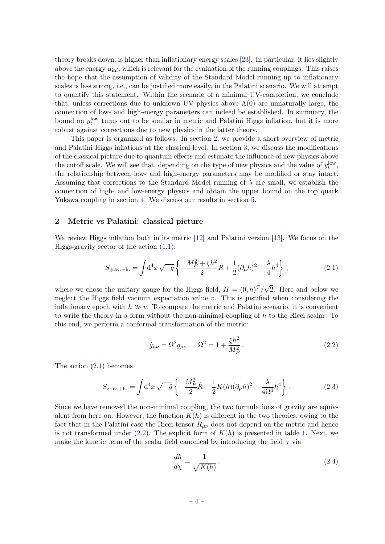theory breaks down, is higher than inflationary energy scales [\[23\]](#page-17-11). In particular, it lies slightly above the energy  $\mu_{\text{inf}}$ , which is relevant for the evaluation of the running couplings. This raises the hope that the assumption of validity of the Standard Model running up to inflationary scales is less strong, i.e., can be justified more easily, in the Palatini scenario. We will attempt to quantify this statement. Within the scenario of a minimal UV-completion, we conclude that, unless corrections due to unknown UV physics above  $\Lambda(0)$  are unnaturally large, the connection of low- and high-energy parameters can indeed be established. In summary, the bound on  $y_t^{\text{low}}$  turns out to be similar in metric and Palatini Higgs inflation, but it is more robust against corrections due to new physics in the latter theory.

This paper is organized as follows. In section [2,](#page-4-0) we provide a short overview of metric and Palatini Higgs inflations at the classical level. In section [3,](#page-7-0) we discuss the modifications of the classical picture due to quantum effects and estimate the influence of new physics above the cutoff scale. We will see that, depending on the type of new physics and the value of  $y_t^{\text{low}}$ , the relationship between low- and high-energy parameters may be modified or stay intact. Assuming that corrections to the Standard Model running of  $\lambda$  are small, we establish the connection of high- and low-energy physics and obtain the upper bound on the top quark Yukawa coupling in section [4.](#page-10-0) We discuss our results in section [5.](#page-14-0)

#### <span id="page-4-0"></span>2 Metric vs Palatini: classical picture

We review Higgs inflation both in its metric [\[12\]](#page-17-1) and Palatini version [\[13\]](#page-17-2). We focus on the Higgs-gravity sector of the action  $(1.1)$ :

<span id="page-4-1"></span>
$$
S_{\text{grav.}+h.} = \int d^4x \sqrt{-g} \left\{ -\frac{M_P^2 + \xi h^2}{2} R + \frac{1}{2} (\partial_\mu h)^2 - \frac{\lambda}{4} h^4 \right\},\tag{2.1}
$$

where we chose the unitary gauge for the Higgs field,  $H = (0, h)^T / \sqrt{2}$ 2. Here and below we neglect the Higgs field vacuum expectation value  $v$ . This is justified when considering the inflationary epoch with  $h \gg v$ . To compare the metric and Palatini scenario, it is convenient to write the theory in a form without the non-minimal coupling of  $h$  to the Ricci scalar. To this end, we perform a conformal transformation of the metric:

<span id="page-4-2"></span>
$$
\hat{g}_{\mu\nu} = \Omega^2 g_{\mu\nu} \,, \quad \Omega^2 = 1 + \frac{\xi h^2}{M_P^2} \,. \tag{2.2}
$$

The action [\(2.1\)](#page-4-1) becomes

$$
S_{\text{grav.}+h.} = \int d^4x \sqrt{-\hat{g}} \left\{ -\frac{M_P^2}{2} \hat{R} + \frac{1}{2} K(h) (\partial_\mu h)^2 - \frac{\lambda}{4\Omega^4} h^4 \right\}.
$$
 (2.3)

Since we have removed the non-minimal coupling, the two formulations of gravity are equivalent from here on. However, the function  $K(h)$  is different in the two theories, owing to the fact that in the Palatini case the Ricci tensor  $R_{\mu\nu}$  does not depend on the metric and hence is not transformed under  $(2.2)$ . The explicit form of  $K(h)$  is presented in table [1.](#page-5-0) Next, we make the kinetic term of the scalar field canonical by introducing the field  $\chi$  via

<span id="page-4-3"></span>
$$
\frac{dh}{d\chi} = \frac{1}{\sqrt{K(h)}}.\tag{2.4}
$$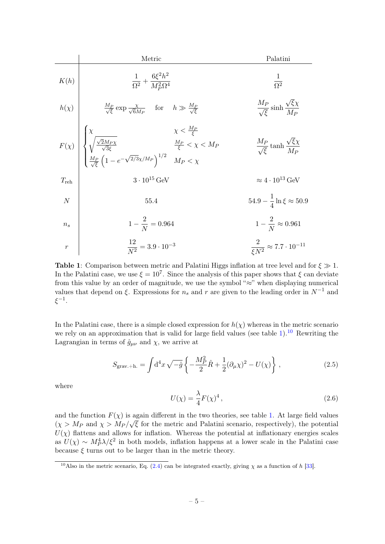<span id="page-5-0"></span>

| Metric           | Palatini                                                                                                                                                         |                                                           |
|------------------|------------------------------------------------------------------------------------------------------------------------------------------------------------------|-----------------------------------------------------------|
| $K(h)$           | $\frac{1}{\Omega^2} + \frac{6\xi^2h^2}{M_P^2\Omega^4}$                                                                                                           | $\frac{1}{\Omega^2}$                                      |
| $h(\chi)$        | $\frac{M_P}{\sqrt{\xi}} \exp \frac{\chi}{\sqrt{6}M_P}$ for $h \gg \frac{M_P}{\sqrt{\xi}}$                                                                        | $\frac{M_P}{\sqrt{\xi}} \sinh \frac{\sqrt{\xi}\chi}{M_P}$ |
| $F(\chi)$        | $\left\{\begin{array}{ccc} \chi & \chi < \frac{M_P}{\xi} \\ \sqrt{\frac{\sqrt{2}M_P\chi}{\sqrt{3}\xi}} & \frac{M_P}{\xi} < \chi < M_P \end{array}\right.\right.$ | $\frac{M_P}{\sqrt{\xi}} \tanh \frac{\sqrt{\xi}\chi}{M_P}$ |
| $T_{\text{reh}}$ | $3 \cdot 10^{15} \text{ GeV}$                                                                                                                                    | $\approx 4 \cdot 10^{13} \text{ GeV}$                     |
| $N$              | $55.4$                                                                                                                                                           | $54.9 - \frac{1}{4} \ln \xi \approx 50.9$                 |
| $n_s$            | $1 - \frac{2}{N} = 0.964$                                                                                                                                        | $1 - \frac{2}{N} \approx 0.961$                           |
| $r$              | $\frac{12}{N^2} = 3.9 \cdot 10^{-3}$                                                                                                                             | $\frac{2}{\xi N^2} \approx 7.7 \cdot 10^{-11}$            |

**Table 1:** Comparison between metric and Palatini Higgs inflation at tree level and for  $\xi \gg 1$ . In the Palatini case, we use  $\xi = 10^7$ . Since the analysis of this paper shows that  $\xi$  can deviate from this value by an order of magnitude, we use the symbol "≈" when displaying numerical values that depend on  $\xi$ . Expressions for  $n_s$  and r are given to the leading order in  $N^{-1}$  and  $\xi^{-1}$ .

In the Palatini case, there is a simple closed expression for  $h(\chi)$  whereas in the metric scenario we rely on an approximation that is valid for large field values (see table [1\)](#page-5-0).<sup>[10](#page-5-1)</sup> Rewriting the Lagrangian in terms of  $\hat{g}_{\mu\nu}$  and  $\chi$ , we arrive at

<span id="page-5-2"></span>
$$
S_{\text{grav.}+h.} = \int d^4x \sqrt{-\hat{g}} \left\{ -\frac{M_P^2}{2} \hat{R} + \frac{1}{2} (\partial_\mu \chi)^2 - U(\chi) \right\} ,\qquad (2.5)
$$

where

<span id="page-5-3"></span>
$$
U(\chi) = \frac{\lambda}{4} F(\chi)^4, \qquad (2.6)
$$

and the function  $F(\chi)$  is again different in the two theories, see table [1.](#page-5-0) At large field values  $(\chi > M_P \text{ and } \chi > M_P/\sqrt{\xi}$  for the metric and Palatini scenario, respectively), the potential  $U(\chi)$  flattens and allows for inflation. Whereas the potential at inflationary energies scales as  $U(\chi) \sim M_P^4 \lambda/\xi^2$  in both models, inflation happens at a lower scale in the Palatini case because  $\xi$  turns out to be larger than in the metric theory.

<span id="page-5-1"></span><sup>&</sup>lt;sup>10</sup>Also in the metric scenario, Eq. [\(2.4\)](#page-4-3) can be integrated exactly, giving  $\chi$  as a function of h [\[33\]](#page-18-3).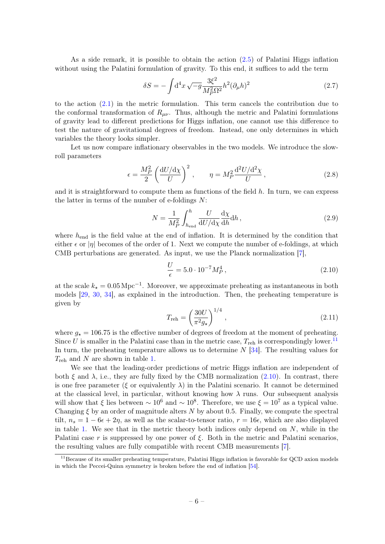As a side remark, it is possible to obtain the action [\(2.5\)](#page-5-2) of Palatini Higgs inflation without using the Palatini formulation of gravity. To this end, it suffices to add the term

$$
\delta S = -\int d^4x \sqrt{-g} \frac{3\xi^2}{M_P^2 \Omega^2} h^2 (\partial_\mu h)^2
$$
\n(2.7)

to the action [\(2.1\)](#page-4-1) in the metric formulation. This term cancels the contribution due to the conformal transformation of  $R_{\mu\nu}$ . Thus, although the metric and Palatini formulations of gravity lead to different predictions for Higgs inflation, one cannot use this difference to test the nature of gravitational degrees of freedom. Instead, one only determines in which variables the theory looks simpler.

Let us now compare inflationary observables in the two models. We introduce the slowroll parameters

$$
\epsilon = \frac{M_P^2}{2} \left( \frac{\mathrm{d}U/\mathrm{d}\chi}{U} \right)^2, \qquad \eta = M_P^2 \frac{\mathrm{d}^2 U/\mathrm{d}^2 \chi}{U},\tag{2.8}
$$

and it is straightforward to compute them as functions of the field  $h$ . In turn, we can express the latter in terms of the number of e-foldings  $N$ :

<span id="page-6-3"></span><span id="page-6-2"></span>
$$
N = \frac{1}{M_P^2} \int_{h_{\text{end}}}^{h} \frac{U}{\mathrm{d}U/\mathrm{d}\chi} \frac{\mathrm{d}\chi}{\mathrm{d}h} \mathrm{d}h \,,\tag{2.9}
$$

where  $h_{\text{end}}$  is the field value at the end of inflation. It is determined by the condition that either  $\epsilon$  or |η| becomes of the order of 1. Next we compute the number of e-foldings, at which CMB perturbations are generated. As input, we use the Planck normalization [\[7\]](#page-16-5),

<span id="page-6-1"></span>
$$
\frac{U}{\epsilon} = 5.0 \cdot 10^{-7} M_P^4 \,, \tag{2.10}
$$

at the scale  $k_{\star} = 0.05 \,\mathrm{Mpc}^{-1}$ . Moreover, we approximate preheating as instantaneous in both models [\[29,](#page-17-13) [30,](#page-17-14) [34\]](#page-18-0), as explained in the introduction. Then, the preheating temperature is given by

$$
T_{\rm reh} = \left(\frac{30U}{\pi^2 g_*}\right)^{1/4},\tag{2.11}
$$

where  $g_{\star} = 106.75$  is the effective number of degrees of freedom at the moment of preheating. Since U is smaller in the Palatini case than in the metric case,  $T_{\text{reh}}$  is correspondingly lower.<sup>[11](#page-6-0)</sup> In turn, the preheating temperature allows us to determine  $N$  [\[34\]](#page-18-0). The resulting values for  $T_{\rm reh}$  and N are shown in table [1.](#page-5-0)

We see that the leading-order predictions of metric Higgs inflation are independent of both  $\xi$  and  $\lambda$ , i.e., they are fully fixed by the CMB normalization [\(2.10\)](#page-6-1). In contrast, there is one free parameter (ξ or equivalently  $\lambda$ ) in the Palatini scenario. It cannot be determined at the classical level, in particular, without knowing how  $\lambda$  runs. Our subsequent analysis will show that  $\xi$  lies between  $\sim 10^6$  and  $\sim 10^8$ . Therefore, we use  $\xi = 10^7$  as a typical value. Changing  $\xi$  by an order of magnitude alters N by about 0.5. Finally, we compute the spectral tilt,  $n_s = 1 - 6\epsilon + 2\eta$ , as well as the scalar-to-tensor ratio,  $r = 16\epsilon$ , which are also displayed in table [1.](#page-5-0) We see that in the metric theory both indices only depend on  $N$ , while in the Palatini case r is suppressed by one power of  $\xi$ . Both in the metric and Palatini scenarios, the resulting values are fully compatible with recent CMB measurements [\[7\]](#page-16-5).

<span id="page-6-0"></span><sup>&</sup>lt;sup>11</sup>Because of its smaller preheating temperature, Palatini Higgs inflation is favorable for QCD axion models in which the Peccei-Quinn symmetry is broken before the end of inflation [\[54\]](#page-19-0).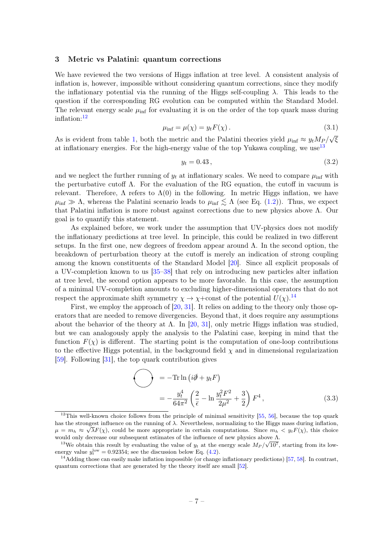#### <span id="page-7-0"></span>3 Metric vs Palatini: quantum corrections

We have reviewed the two versions of Higgs inflation at tree level. A consistent analysis of inflation is, however, impossible without considering quantum corrections, since they modify the inflationary potential via the running of the Higgs self-coupling  $\lambda$ . This leads to the question if the corresponding RG evolution can be computed within the Standard Model. The relevant energy scale  $\mu_{\text{inf}}$  for evaluating it is on the order of the top quark mass during inflation:[12](#page-7-1)

<span id="page-7-4"></span>
$$
\mu_{\text{inf}} = \mu(\chi) = y_t F(\chi). \tag{3.1}
$$

As is evident from table [1,](#page-5-0) both the metric and the Palatini theories yield  $\mu_{\text{inf}} \approx y_t M_P /$ √ ξ at inflationary energies. For the high-energy value of the top Yukawa coupling, we use<sup>[13](#page-7-2)</sup>

<span id="page-7-5"></span>
$$
y_t = 0.43, \t\t(3.2)
$$

and we neglect the further running of  $y_t$  at inflationary scales. We need to compare  $\mu_{\text{inf}}$  with the perturbative cutoff  $\Lambda$ . For the evaluation of the RG equation, the cutoff in vacuum is relevant. Therefore,  $\Lambda$  refers to  $\Lambda(0)$  in the following. In metric Higgs inflation, we have  $\mu_{\text{inf}} \gg \Lambda$ , whereas the Palatini scenario leads to  $\mu_{\text{inf}} \lesssim \Lambda$  (see Eq. [\(1.2\)](#page-2-4)). Thus, we expect that Palatini inflation is more robust against corrections due to new physics above Λ. Our goal is to quantify this statement.

As explained before, we work under the assumption that UV-physics does not modify the inflationary predictions at tree level. In principle, this could be realized in two different setups. In the first one, new degrees of freedom appear around  $\Lambda$ . In the second option, the breakdown of perturbation theory at the cutoff is merely an indication of strong coupling among the known constituents of the Standard Model [\[20\]](#page-17-8). Since all explicit proposals of a UV-completion known to us [\[35–](#page-18-1)[38\]](#page-18-2) that rely on introducing new particles alter inflation at tree level, the second option appears to be more favorable. In this case, the assumption of a minimal UV-completion amounts to excluding higher-dimensional operators that do not respect the approximate shift symmetry  $\chi \to \chi +$ const of the potential  $U(\chi)$ .<sup>[14](#page-7-3)</sup>

First, we employ the approach of [\[20,](#page-17-8) [31\]](#page-17-15). It relies on adding to the theory only those operators that are needed to remove divergencies. Beyond that, it does require any assumptions about the behavior of the theory at  $\Lambda$ . In [\[20,](#page-17-8) [31\]](#page-17-15), only metric Higgs inflation was studied, but we can analogously apply the analysis to the Palatini case, keeping in mind that the function  $F(\chi)$  is different. The starting point is the computation of one-loop contributions to the effective Higgs potential, in the background field  $\chi$  and in dimensional regularization [\[59\]](#page-19-1). Following [\[31\]](#page-17-15), the top quark contribution gives

$$
\begin{aligned}\n&= -\text{Tr} \ln \left( i\partial \!\!/ + y_t F \right) \\
&= -\frac{y_t^4}{64\pi^2} \left( \frac{2}{\bar{\epsilon}} - \ln \frac{y_t^2 F^2}{2\mu^2} + \frac{3}{2} \right) F^4 \,,\n\end{aligned} \tag{3.3}
$$

<span id="page-7-1"></span><sup>&</sup>lt;sup>12</sup>This well-known choice follows from the principle of minimal sensitivity  $[55, 56]$  $[55, 56]$  $[55, 56]$ , because the top quark has the strongest influence on the running of  $\lambda$ . Nevertheless, normalizing to the Higgs mass during inflation,  $\mu = m_h \approx \sqrt{\lambda F(\chi)}$ , could be more appropriate in certain computations. Since  $m_h \lt y_t F(\chi)$ , this choice would only decrease our subsequent estimates of the influence of new physics above  $\Lambda$ .

<span id="page-7-2"></span><sup>&</sup>lt;sup>13</sup>We obtain this result by evaluating the value of  $y_t$  at the energy scale  $M_P / \sqrt{10^7}$ , starting from its lowenergy value  $y_t^{\text{low}} = 0.92354$ ; see the discussion below Eq. [\(4.2\)](#page-10-1).

<span id="page-7-3"></span><sup>&</sup>lt;sup>14</sup>Adding those can easily make inflation impossible (or change inflationary predictions) [\[57,](#page-19-4) [58\]](#page-19-5). In contrast, quantum corrections that are generated by the theory itself are small [\[52\]](#page-18-14).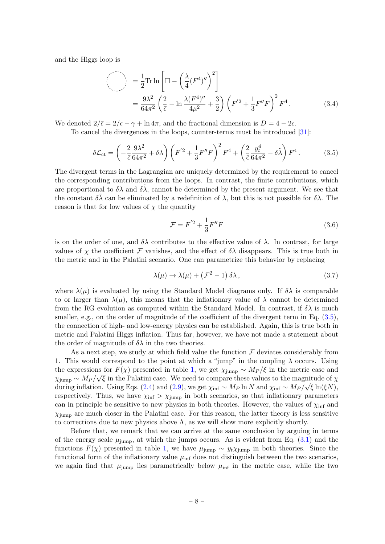and the Higgs loop is

$$
\left(\bigcirc\right) = \frac{1}{2} \text{Tr} \ln \left[ \Box - \left( \frac{\lambda}{4} (F^4)'' \right)^2 \right]
$$
  
=  $\frac{9\lambda^2}{64\pi^2} \left( \frac{2}{\bar{\epsilon}} - \ln \frac{\lambda (F^4)''}{4\mu^2} + \frac{3}{2} \right) \left( F'^2 + \frac{1}{3} F'' F \right)^2 F^4.$  (3.4)

We denoted  $2/\bar{\epsilon} = 2/\epsilon - \gamma + \ln 4\pi$ , and the fractional dimension is  $D = 4 - 2\epsilon$ .

To cancel the divergences in the loops, counter-terms must be introduced [\[31\]](#page-17-15):

<span id="page-8-0"></span>
$$
\delta \mathcal{L}_{\rm ct} = \left( -\frac{2}{\bar{\epsilon}} \frac{9\lambda^2}{64\pi^2} + \delta \lambda \right) \left( F^{'2} + \frac{1}{3} F'' F \right)^2 F^4 + \left( \frac{2}{\bar{\epsilon}} \frac{y_t^4}{64\pi^2} - \delta \tilde{\lambda} \right) F^4. \tag{3.5}
$$

The divergent terms in the Lagrangian are uniquely determined by the requirement to cancel the corresponding contributions from the loops. In contrast, the finite contributions, which are proportional to  $\delta \lambda$  and  $\delta \lambda$ , cannot be determined by the present argument. We see that the constant  $\delta \lambda$  can be eliminated by a redefinition of  $\lambda$ , but this is not possible for  $\delta \lambda$ . The reason is that for low values of  $\chi$  the quantity

$$
\mathcal{F} = F^{'2} + \frac{1}{3}F''F
$$
\n(3.6)

is on the order of one, and  $\delta\lambda$  contributes to the effective value of  $\lambda$ . In contrast, for large values of  $\chi$  the coefficient F vanishes, and the effect of  $\delta\lambda$  disappears. This is true both in the metric and in the Palatini scenario. One can parametrize this behavior by replacing

$$
\lambda(\mu) \to \lambda(\mu) + \left(\mathcal{F}^2 - 1\right)\delta\lambda\,,\tag{3.7}
$$

where  $\lambda(\mu)$  is evaluated by using the Standard Model diagrams only. If  $\delta\lambda$  is comparable to or larger than  $\lambda(\mu)$ , this means that the inflationary value of  $\lambda$  cannot be determined from the RG evolution as computed within the Standard Model. In contrast, if  $\delta\lambda$  is much smaller, e.g., on the order of magnitude of the coefficient of the divergent term in Eq.  $(3.5)$ , the connection of high- and low-energy physics can be established. Again, this is true both in metric and Palatini Higgs inflation. Thus far, however, we have not made a statement about the order of magnitude of  $\delta\lambda$  in the two theories.

As a next step, we study at which field value the function  $\mathcal F$  deviates considerably from 1. This would correspond to the point at which a "jump" in the coupling  $\lambda$  occurs. Using the expressions for  $F(\chi)$  presented in table [1,](#page-5-0) we get  $\chi_{\text{jump}} \sim M_P/\xi$  in the metric case and  $\chi_{\text{jump}} \sim M_P / \sqrt{\xi}$  in the Palatini case. We need to compare these values to the magnitude of  $\chi$ during inflation. Using Eqs. [\(2.4\)](#page-4-3) and [\(2.9\)](#page-6-2), we get  $\chi_{\rm inf} \sim M_P \ln N$  and  $\chi_{\rm inf} \sim M_P / \sqrt{\xi} \ln(\xi N)$ , respectively. Thus, we have  $\chi_{\text{inf}} > \chi_{\text{jump}}$  in both scenarios, so that inflationary parameters can in principle be sensitive to new physics in both theories. However, the values of  $\chi_{\text{inf}}$  and  $\chi_{\text{jump}}$  are much closer in the Palatini case. For this reason, the latter theory is less sensitive to corrections due to new physics above  $\Lambda$ , as we will show more explicitly shortly.

Before that, we remark that we can arrive at the same conclusion by arguing in terms of the energy scale  $\mu_{\text{jump}}$ , at which the jumps occurs. As is evident from Eq. [\(3.1\)](#page-7-4) and the functions  $F(\chi)$  presented in table [1,](#page-5-0) we have  $\mu_{\text{jump}} \sim y_t \chi_{\text{jump}}$  in both theories. Since the functional form of the inflationary value  $\mu_{\text{inf}}$  does not distinguish between the two scenarios, we again find that  $\mu_{\text{jump}}$  lies parametrically below  $\mu_{\text{inf}}$  in the metric case, while the two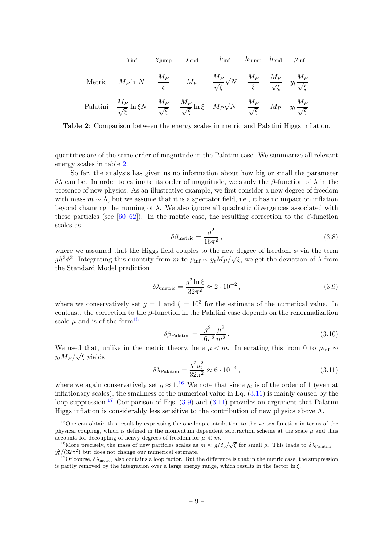<span id="page-9-0"></span>

|                                                                                                                                                                                  | $\chi$ inf $\chi$ jump $\chi$ end | $h_{\text{inf}}$ $h_{\text{jump}}$ $h_{\text{end}}$ $\mu_{\text{inf}}$ |  |  |
|----------------------------------------------------------------------------------------------------------------------------------------------------------------------------------|-----------------------------------|------------------------------------------------------------------------|--|--|
| Metric $M_P \ln N$ $\frac{M_P}{\xi}$ $M_P$ $\frac{M_P}{\sqrt{\xi}} \sqrt{N}$ $\frac{M_P}{\xi}$ $\frac{M_P}{\sqrt{\xi}}$ $y_t \frac{M_P}{\sqrt{\xi}}$                             |                                   |                                                                        |  |  |
| Palatini $\frac{M_P}{\sqrt{\xi}} \ln \xi N$ $\frac{M_P}{\sqrt{\xi}}$ $\frac{M_P}{\sqrt{\xi}} \ln \xi$ $M_P \sqrt{N}$ $\frac{M_P}{\sqrt{\xi}}$ $M_P$ $y_t \frac{M_P}{\sqrt{\xi}}$ |                                   |                                                                        |  |  |

Table 2: Comparison between the energy scales in metric and Palatini Higgs inflation.

quantities are of the same order of magnitude in the Palatini case. We summarize all relevant energy scales in table [2.](#page-9-0)

So far, the analysis has given us no information about how big or small the parameter δλ can be. In order to estimate its order of magnitude, we study the β-function of λ in the presence of new physics. As an illustrative example, we first consider a new degree of freedom with mass  $m \sim \Lambda$ , but we assume that it is a spectator field, i.e., it has no impact on inflation beyond changing the running of  $\lambda$ . We also ignore all quadratic divergences associated with these particles (see [\[60](#page-19-6)[–62\]](#page-19-7)). In the metric case, the resulting correction to the  $\beta$ -function scales as

$$
\delta\beta_{\text{metric}} = \frac{g^2}{16\pi^2},\tag{3.8}
$$

where we assumed that the Higgs field couples to the new degree of freedom  $\phi$  via the term  $gh^2\phi^2$ . Integrating this quantity from m to  $\mu_{\text{inf}} \sim y_t M_P$ /  $^{\prime}$  ,  $\overline{\xi}$ , we get the deviation of  $\lambda$  from the Standard Model prediction

<span id="page-9-5"></span>
$$
\delta \lambda_{\text{metric}} = \frac{g^2 \ln \xi}{32\pi^2} \approx 2 \cdot 10^{-2} \,, \tag{3.9}
$$

where we conservatively set  $g = 1$  and  $\xi = 10^3$  for the estimate of the numerical value. In contrast, the correction to the  $\beta$ -function in the Palatini case depends on the renormalization scale  $\mu$  and is of the form<sup>[15](#page-9-1)</sup>

<span id="page-9-6"></span>
$$
\delta \beta_{\text{Palatini}} = \frac{g^2}{16\pi^2} \frac{\mu^2}{m^2} \,. \tag{3.10}
$$

We used that, unlike in the metric theory, here  $\mu < m$ . Integrating this from 0 to  $\mu_{\text{inf}} \sim$  $y_t M_P / \sqrt{\xi}$  yields

<span id="page-9-3"></span>
$$
\delta \lambda_{\text{Palatini}} = \frac{g^2 y_t^2}{32\pi^2} \approx 6 \cdot 10^{-4} \,, \tag{3.11}
$$

where we again conservatively set  $g \approx 1.16$  $g \approx 1.16$  We note that since  $y_t$  is of the order of 1 (even at inflationary scales), the smallness of the numerical value in Eq. [\(3.11\)](#page-9-3) is mainly caused by the loop suppression.<sup>[17](#page-9-4)</sup> Comparison of Eqs.  $(3.9)$  and  $(3.11)$  provides an argument that Palatini Higgs inflation is considerably less sensitive to the contribution of new physics above  $\Lambda$ .

<span id="page-9-1"></span><sup>&</sup>lt;sup>15</sup>One can obtain this result by expressing the one-loop contribution to the vertex function in terms of the physical coupling, which is defined in the momentum dependent subtraction scheme at the scale  $\mu$  and thus accounts for decoupling of heavy degrees of freedom for  $\mu \ll m$ .

<span id="page-9-2"></span><sup>&</sup>lt;sup>16</sup>More precisely, the mass of new particles scales as  $m \approx g M_p / \sqrt{\xi}$  for small g. This leads to  $\delta \lambda_{\text{Palatini}} =$  $y_t^2/(32\pi^2)$  but does not change our numerical estimate.

<span id="page-9-4"></span><sup>&</sup>lt;sup>17</sup>Of course,  $\delta \lambda_{\text{metric}}$  also contains a loop factor. But the difference is that in the metric case, the suppression is partly removed by the integration over a large energy range, which results in the factor  $\ln \xi$ .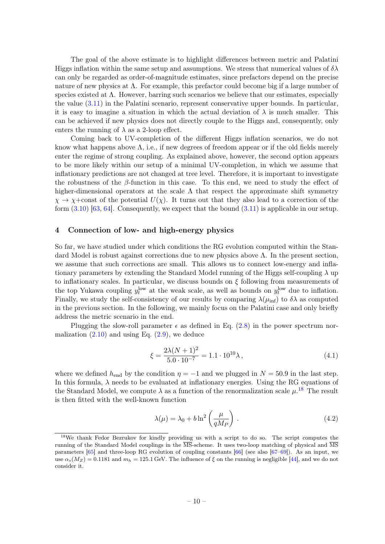The goal of the above estimate is to highlight differences between metric and Palatini Higgs inflation within the same setup and assumptions. We stress that numerical values of  $\delta \lambda$ can only be regarded as order-of-magnitude estimates, since prefactors depend on the precise nature of new physics at  $\Lambda$ . For example, this prefactor could become big if a large number of species existed at  $\Lambda$ . However, barring such scenarios we believe that our estimates, especially the value [\(3.11\)](#page-9-3) in the Palatini scenario, represent conservative upper bounds. In particular, it is easy to imagine a situation in which the actual deviation of  $\lambda$  is much smaller. This can be achieved if new physics does not directly couple to the Higgs and, consequently, only enters the running of  $\lambda$  as a 2-loop effect.

Coming back to UV-completion of the different Higgs inflation scenarios, we do not know what happens above  $\Lambda$ , i.e., if new degrees of freedom appear or if the old fields merely enter the regime of strong coupling. As explained above, however, the second option appears to be more likely within our setup of a minimal UV-completion, in which we assume that inflationary predictions are not changed at tree level. Therefore, it is important to investigate the robustness of the  $\beta$ -function in this case. To this end, we need to study the effect of higher-dimensional operators at the scale  $\Lambda$  that respect the approximate shift symmetry  $\chi \to \chi + \text{const}$  of the potential  $U(\chi)$ . It turns out that they also lead to a correction of the form  $(3.10)$  [\[63,](#page-19-8) [64\]](#page-19-9). Consequently, we expect that the bound  $(3.11)$  is applicable in our setup.

#### <span id="page-10-0"></span>4 Connection of low- and high-energy physics

So far, we have studied under which conditions the RG evolution computed within the Standard Model is robust against corrections due to new physics above  $\Lambda$ . In the present section, we assume that such corrections are small. This allows us to connect low-energy and inflationary parameters by extending the Standard Model running of the Higgs self-coupling  $\lambda$  up to inflationary scales. In particular, we discuss bounds on  $\xi$  following from measurements of the top Yukawa coupling  $y_t^{\text{low}}$  at the weak scale, as well as bounds on  $y_t^{\text{low}}$  due to inflation. Finally, we study the self-consistency of our results by comparing  $\lambda(\mu_{\text{inf}})$  to  $\delta\lambda$  as computed in the previous section. In the following, we mainly focus on the Palatini case and only briefly address the metric scenario in the end.

Plugging the slow-roll parameter  $\epsilon$  as defined in Eq. [\(2.8\)](#page-6-3) in the power spectrum normalization  $(2.10)$  and using Eq.  $(2.9)$ , we deduce

<span id="page-10-3"></span>
$$
\xi = \frac{2\lambda(N+1)^2}{5.0 \cdot 10^{-7}} = 1.1 \cdot 10^{10} \lambda, \qquad (4.1)
$$

where we defined  $h_{end}$  by the condition  $\eta = -1$  and we plugged in  $N = 50.9$  in the last step. In this formula,  $\lambda$  needs to be evaluated at inflationary energies. Using the RG equations of the Standard Model, we compute  $\lambda$  as a function of the renormalization scale  $\mu$ .<sup>[18](#page-10-2)</sup> The result is then fitted with the well-known function

<span id="page-10-1"></span>
$$
\lambda(\mu) = \lambda_0 + b \ln^2 \left(\frac{\mu}{qM_P}\right). \tag{4.2}
$$

<span id="page-10-2"></span><sup>&</sup>lt;sup>18</sup>We thank Fedor Bezrukov for kindly providing us with a script to do so. The script computes the running of the Standard Model couplings in the MS-scheme. It uses two-loop matching of physical and MS parameters [\[65\]](#page-19-10) and three-loop RG evolution of coupling constants [\[66\]](#page-19-11) (see also [\[67–](#page-19-12)[69\]](#page-19-13)). As an input, we use  $\alpha_s(M_Z) = 0.1181$  and  $m_h = 125.1$  GeV. The influence of  $\xi$  on the running is negligible [\[44\]](#page-18-8), and we do not consider it.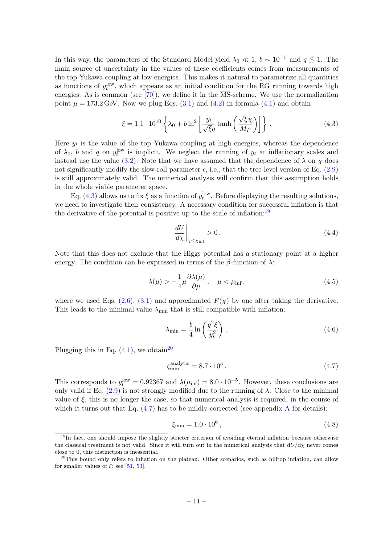In this way, the parameters of the Standard Model yield  $\lambda_0 \ll 1$ ,  $b \sim 10^{-5}$  and  $q \lesssim 1$ . The main source of uncertainty in the values of these coefficients comes from measurements of the top Yukawa coupling at low energies. This makes it natural to parametrize all quantities as functions of  $y_t^{\text{low}}$ , which appears as an initial condition for the RG running towards high energies. As is common (see [\[70\]](#page-19-14)), we define it in the  $\overline{\text{MS}}$ -scheme. We use the normalization point  $\mu = 173.2$  GeV. Now we plug Eqs. [\(3.1\)](#page-7-4) and [\(4.2\)](#page-10-1) in formula [\(4.1\)](#page-10-3) and obtain

<span id="page-11-0"></span>
$$
\xi = 1.1 \cdot 10^{10} \left\{ \lambda_0 + b \ln^2 \left[ \frac{y_t}{\sqrt{\xi} q} \tanh \left( \frac{\sqrt{\xi} \chi}{M_P} \right) \right] \right\}.
$$
 (4.3)

Here  $y_t$  is the value of the top Yukawa coupling at high energies, whereas the dependence of  $\lambda_0$ , b and q on  $y_t^{\text{low}}$  is implicit. We neglect the running of  $y_t$  at inflationary scales and instead use the value [\(3.2\)](#page-7-5). Note that we have assumed that the dependence of  $\lambda$  on  $\chi$  does not significantly modify the slow-roll parameter  $\epsilon$ , i.e., that the tree-level version of Eq. [\(2.9\)](#page-6-2) is still approximately valid. The numerical analysis will confirm that this assumption holds in the whole viable parameter space.

Eq. [\(4.3\)](#page-11-0) allows us to fix  $\xi$  as a function of  $y_t^{\text{low}}$ . Before displaying the resulting solutions, we need to investigate their consistency. A necessary condition for successful inflation is that the derivative of the potential is positive up to the scale of inflation:<sup>[19](#page-11-1)</sup>

$$
\left. \frac{dU}{d\chi} \right|_{\chi < \chi_{\text{inf}}} > 0. \tag{4.4}
$$

Note that this does not exclude that the Higgs potential has a stationary point at a higher energy. The condition can be expressed in terms of the  $\beta$ -function of  $\lambda$ :

<span id="page-11-5"></span>
$$
\lambda(\mu) > -\frac{1}{4}\mu \frac{\partial \lambda(\mu)}{\partial \mu}, \quad \mu < \mu_{\text{inf}}, \tag{4.5}
$$

where we used Eqs. [\(2.6\)](#page-5-3), [\(3.1\)](#page-7-4) and approximated  $F(\chi)$  by one after taking the derivative. This leads to the minimal value  $\lambda_{\min}$  that is still compatible with inflation:

<span id="page-11-6"></span>
$$
\lambda_{\min} = \frac{b}{4} \ln \left( \frac{q^2 \xi}{y_t^2} \right) . \tag{4.6}
$$

Plugging this in Eq.  $(4.1)$ , we obtain<sup>[20](#page-11-2)</sup>

<span id="page-11-3"></span>
$$
\xi_{\min}^{\text{analytic}} = 8.7 \cdot 10^5 \,. \tag{4.7}
$$

This corresponds to  $y_t^{\text{low}} = 0.92367$  and  $\lambda(\mu_{\text{inf}}) = 8.0 \cdot 10^{-5}$ . However, these conclusions are only valid if Eq.  $(2.9)$  is not strongly modified due to the running of  $\lambda$ . Close to the minimal value of  $\xi$ , this is no longer the case, so that numerical analysis is required, in the course of which it turns out that Eq.  $(4.7)$  has to be mildly corrected (see appendix [A](#page-15-0) for details):

<span id="page-11-4"></span>
$$
\xi_{\rm min} = 1.0 \cdot 10^6 \,, \tag{4.8}
$$

<span id="page-11-1"></span><sup>&</sup>lt;sup>19</sup>In fact, one should impose the slightly stricter criterion of avoiding eternal inflation because otherwise the classical treatment is not valid. Since it will turn out in the numerical analysis that  $dU/d\chi$  never comes close to 0, this distinction is inessential.

<span id="page-11-2"></span><sup>&</sup>lt;sup>20</sup>This bound only refers to inflation on the plateau. Other scenarios, such as hilltop inflation, can allow for smaller values of  $\xi$ ; see [\[51,](#page-18-12) [53\]](#page-18-13).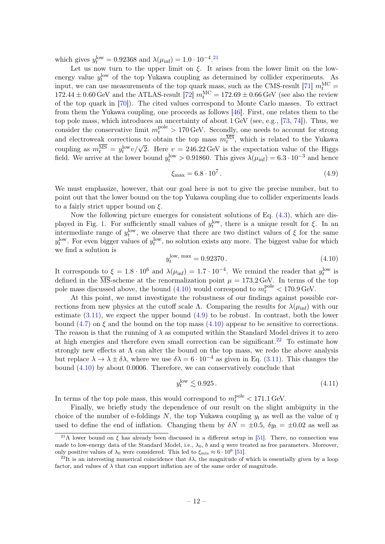which gives  $y_t^{\text{low}} = 0.92368$  and  $\lambda(\mu_{\text{inf}}) = 1.0 \cdot 10^{-4}$ .<sup>[21](#page-12-0)</sup>

Let us now turn to the upper limit on  $\xi$ . It arises from the lower limit on the lowenergy value  $y_t^{\text{low}}$  of the top Yukawa coupling as determined by collider experiments. As input, we can use measurements of the top quark mass, such as the CMS-result [\[71\]](#page-19-15)  $m_t^{\text{MC}} =$  $172.44 \pm 0.60 \,\text{GeV}$  and the ATLAS-result [\[72\]](#page-19-16)  $m_t^{\text{MC}} = 172.69 \pm 0.66 \,\text{GeV}$  (see also the review of the top quark in [\[70\]](#page-19-14)). The cited values correspond to Monte Carlo masses. To extract from them the Yukawa coupling, one proceeds as follows [\[46\]](#page-18-9). First, one relates them to the top pole mass, which introduces an uncertainty of about 1 GeV (see, e.g., [\[73,](#page-19-17) [74\]](#page-20-0)). Thus, we consider the conservative limit  $m_t^{\text{pole}} > 170 \,\text{GeV}$ . Secondly, one needs to account for strong and electroweak corrections to obtain the top mass  $m_t^{\text{MS}}$ , which is related to the Yukawa coupling as  $m_t^{\overline{MS}} = y_t^{\text{low}} v / \sqrt{2}$ . Here  $v = 246.22 \text{ GeV}$  is the expectation value of the Higgs field. We arrive at the lower bound  $y_t^{\text{low}} > 0.91860$ . This gives  $\lambda(\mu_{\text{inf}}) = 6.3 \cdot 10^{-3}$  and hence

<span id="page-12-2"></span>
$$
\xi_{\text{max}} = 6.8 \cdot 10^7. \tag{4.9}
$$

We must emphasize, however, that our goal here is not to give the precise number, but to point out that the lower bound on the top Yukawa coupling due to collider experiments leads to a fairly strict upper bound on  $\xi$ .

Now the following picture emerges for consistent solutions of Eq. [\(4.3\)](#page-11-0), which are dis-played in Fig. [1.](#page-13-0) For sufficiently small values of  $y_t^{\text{low}}$ , there is a unique result for  $\xi$ . In an intermediate range of  $y_t^{\text{low}}$ , we observe that there are two distinct values of  $\xi$  for the same  $y_t^{\text{low}}$ . For even bigger values of  $y_t^{\text{low}}$ , no solution exists any more. The biggest value for which we find a solution is

<span id="page-12-1"></span>
$$
y_t^{\text{low, max}} = 0.92370. \tag{4.10}
$$

It corresponds to  $\xi = 1.8 \cdot 10^6$  and  $\lambda(\mu_{\rm inf}) = 1.7 \cdot 10^{-4}$ . We remind the reader that  $y_t^{\rm low}$  is defined in the  $\overline{\text{MS}}$ -scheme at the renormalization point  $\mu = 173.2 \,\text{GeV}$ . In terms of the top pole mass discussed above, the bound  $(4.10)$  would correspond to  $m_t^{\text{pole}} < 170.9 \,\text{GeV}$ .

At this point, we must investigate the robustness of our findings against possible corrections from new physics at the cutoff scale Λ. Comparing the results for  $\lambda(\mu_{\text{inf}})$  with our estimate  $(3.11)$ , we expect the upper bound  $(4.9)$  to be robust. In contrast, both the lower bound [\(4.7\)](#page-11-3) on  $\xi$  and the bound on the top mass [\(4.10\)](#page-12-1) appear to be sensitive to corrections. The reason is that the running of  $\lambda$  as computed within the Standard Model drives it to zero at high energies and therefore even small correction can be significant.<sup>[22](#page-12-3)</sup> To estimate how strongly new effects at  $\Lambda$  can alter the bound on the top mass, we redo the above analysis but replace  $\lambda \to \lambda \pm \delta \lambda$ , where we use  $\delta \lambda = 6 \cdot 10^{-4}$  as given in Eq. [\(3.11\)](#page-9-3). This changes the bound [\(4.10\)](#page-12-1) by about 0.0006. Therefore, we can conservatively conclude that

$$
y_t^{\text{low}} \lesssim 0.925\,. \tag{4.11}
$$

In terms of the top pole mass, this would correspond to  $m_t^{\text{pole}} < 171.1 \,\text{GeV}$ .

Finally, we briefly study the dependence of our result on the slight ambiguity in the choice of the number of e-foldings N, the top Yukawa coupling  $y_t$  as well as the value of  $\eta$ used to define the end of inflation. Changing them by  $\delta N = \pm 0.5$ ,  $\delta y_t = \pm 0.02$  as well as

<span id="page-12-0"></span><sup>&</sup>lt;sup>21</sup>A lower bound on  $\xi$  has already been discussed in a different setup in [\[51\]](#page-18-12). There, no connection was made to low-energy data of the Standard Model, i.e.,  $\lambda_0$ , b and q were treated as free parameters. Moreover, only positive values of  $\lambda_0$  were considered. This led to  $\xi_{\rm min} \approx 6 \cdot 10^6$  [\[51\]](#page-18-12).

<span id="page-12-3"></span><sup>&</sup>lt;sup>22</sup>It is an interesting numerical coincidence that  $\delta \lambda$ , the magnitude of which is essentially given by a loop factor, and values of  $\lambda$  that can support inflation are of the same order of magnitude.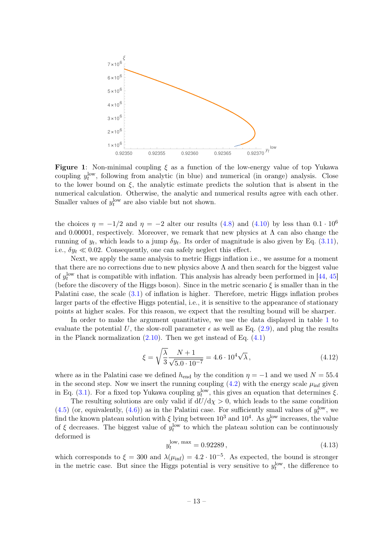<span id="page-13-0"></span>

Figure 1: Non-minimal coupling  $\xi$  as a function of the low-energy value of top Yukawa coupling  $y_t^{\text{low}}$ , following from analytic (in blue) and numerical (in orange) analysis. Close to the lower bound on  $\xi$ , the analytic estimate predicts the solution that is absent in the numerical calculation. Otherwise, the analytic and numerical results agree with each other. Smaller values of  $y_t^{\text{low}}$  are also viable but not shown.

the choices  $\eta = -1/2$  and  $\eta = -2$  alter our results [\(4.8\)](#page-11-4) and [\(4.10\)](#page-12-1) by less than 0.1 · 10<sup>6</sup> and 0.00001, respectively. Moreover, we remark that new physics at  $\Lambda$  can also change the running of  $y_t$ , which leads to a jump  $\delta y_t$ . Its order of magnitude is also given by Eq. [\(3.11\)](#page-9-3), i.e.,  $\delta y_t \ll 0.02$ . Consequently, one can safely neglect this effect.

Next, we apply the same analysis to metric Higgs inflation i.e., we assume for a moment that there are no corrections due to new physics above  $\Lambda$  and then search for the biggest value of  $y_t^{\text{low}}$  that is compatible with inflation. This analysis has already been performed in [\[44,](#page-18-8) [45\]](#page-18-15) (before the discovery of the Higgs boson). Since in the metric scenario  $\xi$  is smaller than in the Palatini case, the scale [\(3.1\)](#page-7-4) of inflation is higher. Therefore, metric Higgs inflation probes larger parts of the effective Higgs potential, i.e., it is sensitive to the appearance of stationary points at higher scales. For this reason, we expect that the resulting bound will be sharper.

In order to make the argument quantitative, we use the data displayed in table [1](#page-5-0) to evaluate the potential U, the slow-roll parameter  $\epsilon$  as well as Eq. [\(2.9\)](#page-6-2), and plug the results in the Planck normalization  $(2.10)$ . Then we get instead of Eq.  $(4.1)$ 

$$
\xi = \sqrt{\frac{\lambda}{3}} \frac{N+1}{\sqrt{5.0 \cdot 10^{-7}}} = 4.6 \cdot 10^4 \sqrt{\lambda},\tag{4.12}
$$

where as in the Palatini case we defined  $h_{\text{end}}$  by the condition  $\eta = -1$  and we used  $N = 55.4$ in the second step. Now we insert the running coupling  $(4.2)$  with the energy scale  $\mu_{\text{inf}}$  given in Eq. [\(3.1\)](#page-7-4). For a fixed top Yukawa coupling  $y_t^{\text{low}}$ , this gives an equation that determines  $\xi$ .

The resulting solutions are only valid if  $dU/d\chi > 0$ , which leads to the same condition  $(4.5)$  (or, equivalently,  $(4.6)$ ) as in the Palatini case. For sufficiently small values of  $y_t^{\text{low}}$ , we find the known plateau solution with  $\xi$  lying between  $10^3$  and  $10^4$ . As  $y_t^{\text{low}}$  increases, the value of  $\xi$  decreases. The biggest value of  $y_t^{\text{low}}$  to which the plateau solution can be continuously deformed is

<span id="page-13-1"></span>
$$
y_t^{\text{low, max}} = 0.92289\,,\tag{4.13}
$$

which corresponds to  $\xi = 300$  and  $\lambda(\mu_{\rm inf}) = 4.2 \cdot 10^{-5}$ . As expected, the bound is stronger in the metric case. But since the Higgs potential is very sensitive to  $y_t^{\text{low}}$ , the difference to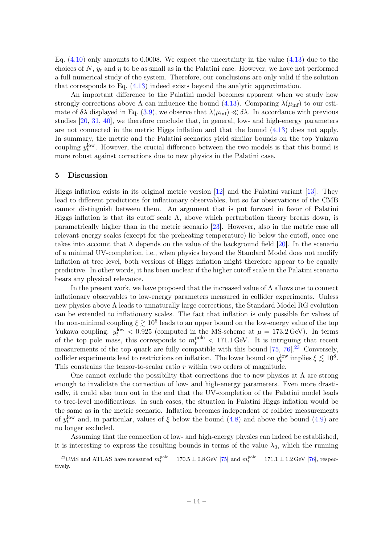Eq.  $(4.10)$  only amounts to 0.0008. We expect the uncertainty in the value  $(4.13)$  due to the choices of N,  $y_t$  and  $\eta$  to be as small as in the Palatini case. However, we have not performed a full numerical study of the system. Therefore, our conclusions are only valid if the solution that corresponds to Eq. [\(4.13\)](#page-13-1) indeed exists beyond the analytic approximation.

An important difference to the Palatini model becomes apparent when we study how strongly corrections above  $\Lambda$  can influence the bound [\(4.13\)](#page-13-1). Comparing  $\lambda(\mu_{\text{inf}})$  to our estimate of  $\delta\lambda$  displayed in Eq. [\(3.9\)](#page-9-5), we observe that  $\lambda(\mu_{\rm inf}) \ll \delta\lambda$ . In accordance with previous studies [\[20,](#page-17-8) [31,](#page-17-15) [40\]](#page-18-6), we therefore conclude that, in general, low- and high-energy parameters are not connected in the metric Higgs inflation and that the bound [\(4.13\)](#page-13-1) does not apply. In summary, the metric and the Palatini scenarios yield similar bounds on the top Yukawa coupling  $y_t^{\text{low}}$ . However, the crucial difference between the two models is that this bound is more robust against corrections due to new physics in the Palatini case.

#### <span id="page-14-0"></span>5 Discussion

Higgs inflation exists in its original metric version [\[12\]](#page-17-1) and the Palatini variant [\[13\]](#page-17-2). They lead to different predictions for inflationary observables, but so far observations of the CMB cannot distinguish between them. An argument that is put forward in favor of Palatini Higgs inflation is that its cutoff scale  $\Lambda$ , above which perturbation theory breaks down, is parametrically higher than in the metric scenario [\[23\]](#page-17-11). However, also in the metric case all relevant energy scales (except for the preheating temperature) lie below the cutoff, once one takes into account that  $\Lambda$  depends on the value of the background field [\[20\]](#page-17-8). In the scenario of a minimal UV-completion, i.e., when physics beyond the Standard Model does not modify inflation at tree level, both versions of Higgs inflation might therefore appear to be equally predictive. In other words, it has been unclear if the higher cutoff scale in the Palatini scenario bears any physical relevance.

In the present work, we have proposed that the increased value of  $\Lambda$  allows one to connect inflationary observables to low-energy parameters measured in collider experiments. Unless new physics above Λ leads to unnaturally large corrections, the Standard Model RG evolution can be extended to inflationary scales. The fact that inflation is only possible for values of the non-minimal coupling  $\xi \gtrsim 10^6$  leads to an upper bound on the low-energy value of the top Yukawa coupling:  $y_t^{\text{low}} < 0.925$  (computed in the  $\overline{\text{MS}}$ -scheme at  $\mu = 173.2 \,\text{GeV}$ ). In terms of the top pole mass, this corresponds to  $m_t^{\text{pole}} < 171.1 \,\text{GeV}$ . It is intriguing that recent measurements of the top quark are fully compatible with this bound  $[75, 76]$  $[75, 76]$  $[75, 76]$ .<sup>[23](#page-14-1)</sup> Conversely, collider experiments lead to restrictions on inflation. The lower bound on  $y_t^{\text{low}}$  implies  $\xi \lesssim 10^8$ . This constrains the tensor-to-scalar ratio r within two orders of magnitude.

One cannot exclude the possibility that corrections due to new physics at  $\Lambda$  are strong enough to invalidate the connection of low- and high-energy parameters. Even more drastically, it could also turn out in the end that the UV-completion of the Palatini model leads to tree-level modifications. In such cases, the situation in Palatini Higgs inflation would be the same as in the metric scenario. Inflation becomes independent of collider measurements of  $y_t^{\text{low}}$  and, in particular, values of  $\xi$  below the bound  $(4.8)$  and above the bound  $(4.9)$  are no longer excluded.

Assuming that the connection of low- and high-energy physics can indeed be established, it is interesting to express the resulting bounds in terms of the value  $\lambda_0$ , which the running

<span id="page-14-1"></span><sup>&</sup>lt;sup>23</sup>CMS and ATLAS have measured  $m_t^{\text{pole}} = 170.5 \pm 0.8$  GeV [\[75\]](#page-20-1) and  $m_t^{\text{pole}} = 171.1 \pm 1.2$  GeV [\[76\]](#page-20-2), respectively.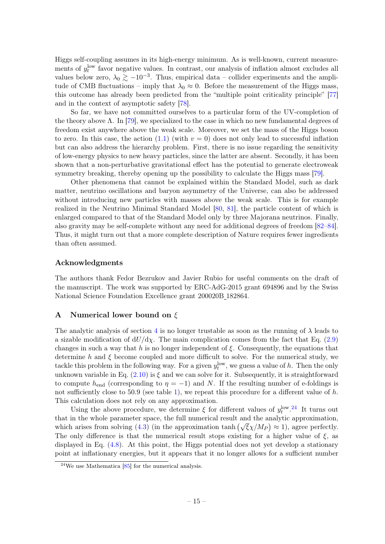Higgs self-coupling assumes in its high-energy minimum. As is well-known, current measurements of  $y_t^{\text{low}}$  favor negative values. In contrast, our analysis of inflation almost excludes all values below zero,  $\lambda_0 \gtrsim -10^{-3}$ . Thus, empirical data – collider experiments and the amplitude of CMB fluctuations – imply that  $\lambda_0 \approx 0$ . Before the measurement of the Higgs mass, this outcome has already been predicted from the "multiple point criticality principle" [\[77\]](#page-20-3) and in the context of asymptotic safety [\[78\]](#page-20-4).

So far, we have not committed ourselves to a particular form of the UV-completion of the theory above  $\Lambda$ . In [\[79\]](#page-20-5), we specialized to the case in which no new fundamental degrees of freedom exist anywhere above the weak scale. Moreover, we set the mass of the Higgs boson to zero. In this case, the action  $(1.1)$  (with  $v = 0$ ) does not only lead to successful inflation but can also address the hierarchy problem. First, there is no issue regarding the sensitivity of low-energy physics to new heavy particles, since the latter are absent. Secondly, it has been shown that a non-perturbative gravitational effect has the potential to generate electroweak symmetry breaking, thereby opening up the possibility to calculate the Higgs mass [\[79\]](#page-20-5).

Other phenomena that cannot be explained within the Standard Model, such as dark matter, neutrino oscillations and baryon asymmetry of the Universe, can also be addressed without introducing new particles with masses above the weak scale. This is for example realized in the Neutrino Minimal Standard Model [\[80,](#page-20-6) [81\]](#page-20-7), the particle content of which is enlarged compared to that of the Standard Model only by three Majorana neutrinos. Finally, also gravity may be self-complete without any need for additional degrees of freedom [\[82–](#page-20-8)[84\]](#page-20-9). Thus, it might turn out that a more complete description of Nature requires fewer ingredients than often assumed.

# Acknowledgments

The authors thank Fedor Bezrukov and Javier Rubio for useful comments on the draft of the manuscript. The work was supported by ERC-AdG-2015 grant 694896 and by the Swiss National Science Foundation Excellence grant 200020B 182864.

# <span id="page-15-0"></span>A Numerical lower bound on  $\xi$

The analytic analysis of section [4](#page-10-0) is no longer trustable as soon as the running of  $\lambda$  leads to a sizable modification of  $dU/d\chi$ . The main complication comes from the fact that Eq. [\(2.9\)](#page-6-2) changes in such a way that h is no longer independent of  $\xi$ . Consequently, the equations that determine h and  $\xi$  become coupled and more difficult to solve. For the numerical study, we tackle this problem in the following way. For a given  $y_t^{\text{low}}$ , we guess a value of h. Then the only unknown variable in Eq.  $(2.10)$  is  $\xi$  and we can solve for it. Subsequently, it is straightforward to compute  $h_{end}$  (corresponding to  $\eta = -1$ ) and N. If the resulting number of e-foldings is not sufficiently close to 50.9 (see table [1\)](#page-5-0), we repeat this procedure for a different value of  $h$ . This calculation does not rely on any approximation.

Using the above procedure, we determine  $\xi$  for different values of  $y_t^{\text{low }24}$  $y_t^{\text{low }24}$  $y_t^{\text{low }24}$  It turns out that in the whole parameter space, the full numerical result and the analytic approximation, which arises from solving [\(4.3\)](#page-11-0) (in the approximation tanh  $(\sqrt{\xi}\chi/M_P) \approx 1$ ), agree perfectly. The only difference is that the numerical result stops existing for a higher value of  $\xi$ , as displayed in Eq. [\(4.8\)](#page-11-4). At this point, the Higgs potential does not yet develop a stationary point at inflationary energies, but it appears that it no longer allows for a sufficient number

<span id="page-15-1"></span> $24$ We use Mathematica [\[85\]](#page-20-10) for the numerical analysis.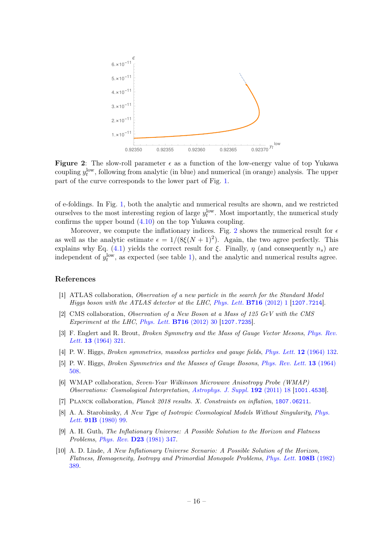<span id="page-16-7"></span>

Figure 2: The slow-roll parameter  $\epsilon$  as a function of the low-energy value of top Yukawa coupling  $y_t^{\text{low}}$ , following from analytic (in blue) and numerical (in orange) analysis. The upper part of the curve corresponds to the lower part of Fig. [1.](#page-13-0)

of e-foldings. In Fig. [1,](#page-13-0) both the analytic and numerical results are shown, and we restricted ourselves to the most interesting region of large  $y_t^{\text{low}}$ . Most importantly, the numerical study confirms the upper bound [\(4.10\)](#page-12-1) on the top Yukawa coupling.

Moreover, we compute the inflationary indices. Fig. [2](#page-16-7) shows the numerical result for  $\epsilon$ as well as the analytic estimate  $\epsilon = 1/(8\xi(N+1)^2)$ . Again, the two agree perfectly. This explains why Eq. [\(4.1\)](#page-10-3) yields the correct result for  $\xi$ . Finally,  $\eta$  (and consequently  $n_s$ ) are independent of  $y_t^{\text{low}}$ , as expected (see table [1\)](#page-5-0), and the analytic and numerical results agree.

# References

- <span id="page-16-0"></span>[1] ATLAS collaboration, Observation of a new particle in the search for the Standard Model Higgs boson with the ATLAS detector at the LHC, [Phys. Lett.](https://doi.org/10.1016/j.physletb.2012.08.020) B716 (2012) 1 [[1207.7214](https://arxiv.org/abs/1207.7214)].
- <span id="page-16-1"></span>[2] CMS collaboration, Observation of a New Boson at a Mass of 125 GeV with the CMS Experiment at the LHC, [Phys. Lett.](https://doi.org/10.1016/j.physletb.2012.08.021) B716 (2012) 30 [[1207.7235](https://arxiv.org/abs/1207.7235)].
- <span id="page-16-2"></span>[3] F. Englert and R. Brout, Broken Symmetry and the Mass of Gauge Vector Mesons, [Phys. Rev.](https://doi.org/10.1103/PhysRevLett.13.321) Lett. 13 [\(1964\) 321.](https://doi.org/10.1103/PhysRevLett.13.321)
- [4] P. W. Higgs, *Broken symmetries, massless particles and gauge fields, Phys. Lett.* **12** [\(1964\) 132.](https://doi.org/10.1016/0031-9163(64)91136-9)
- <span id="page-16-3"></span>[5] P. W. Higgs, *Broken Symmetries and the Masses of Gauge Bosons, [Phys. Rev. Lett.](https://doi.org/10.1103/PhysRevLett.13.508)* **13** (1964) [508.](https://doi.org/10.1103/PhysRevLett.13.508)
- <span id="page-16-4"></span>[6] WMAP collaboration, Seven-Year Wilkinson Microwave Anisotropy Probe (WMAP) Observations: Cosmological Interpretation, [Astrophys. J. Suppl.](https://doi.org/10.1088/0067-0049/192/2/18) 192 (2011) 18 [[1001.4538](https://arxiv.org/abs/1001.4538)].
- <span id="page-16-5"></span>[7] Planck collaboration, Planck 2018 results. X. Constraints on inflation, [1807.06211](https://arxiv.org/abs/1807.06211).
- <span id="page-16-6"></span>[8] A. A. Starobinsky, A New Type of Isotropic Cosmological Models Without Singularity, [Phys.](https://doi.org/10.1016/0370-2693(80)90670-X) Lett. **91B** [\(1980\) 99.](https://doi.org/10.1016/0370-2693(80)90670-X)
- [9] A. H. Guth, The Inflationary Universe: A Possible Solution to the Horizon and Flatness Problems, Phys. Rev. D23 [\(1981\) 347.](https://doi.org/10.1103/PhysRevD.23.347)
- [10] A. D. Linde, A New Inflationary Universe Scenario: A Possible Solution of the Horizon, Flatness, Homogeneity, Isotropy and Primordial Monopole Problems, [Phys. Lett.](https://doi.org/10.1016/0370-2693(82)91219-9) 108B (1982) [389.](https://doi.org/10.1016/0370-2693(82)91219-9)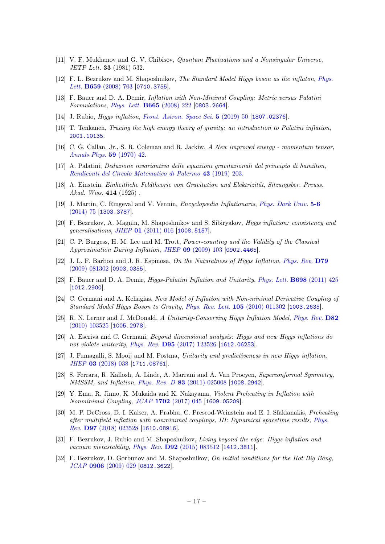- <span id="page-17-0"></span>[11] V. F. Mukhanov and G. V. Chibisov, Quantum Fluctuations and a Nonsingular Universe, JETP Lett. 33 (1981) 532.
- <span id="page-17-1"></span>[12] F. L. Bezrukov and M. Shaposhnikov, The Standard Model Higgs boson as the inflaton, [Phys.](https://doi.org/10.1016/j.physletb.2007.11.072) Lett. **B659** [\(2008\) 703](https://doi.org/10.1016/j.physletb.2007.11.072) [[0710.3755](https://arxiv.org/abs/0710.3755)].
- <span id="page-17-2"></span>[13] F. Bauer and D. A. Demir, Inflation with Non-Minimal Coupling: Metric versus Palatini Formulations, [Phys. Lett.](https://doi.org/10.1016/j.physletb.2008.06.014) B665 (2008) 222 [[0803.2664](https://arxiv.org/abs/0803.2664)].
- <span id="page-17-5"></span>[14] J. Rubio, *Higgs inflation, [Front. Astron. Space Sci.](https://doi.org/10.3389/fspas.2018.00050)* **5** (2019) 50 [[1807.02376](https://arxiv.org/abs/1807.02376)].
- <span id="page-17-6"></span>[15] T. Tenkanen, Tracing the high energy theory of gravity: an introduction to Palatini inflation, [2001.10135](https://arxiv.org/abs/2001.10135).
- <span id="page-17-7"></span>[16] C. G. Callan, Jr., S. R. Coleman and R. Jackiw, A New improved energy - momentum tensor, [Annals Phys.](https://doi.org/10.1016/0003-4916(70)90394-5) 59 (1970) 42.
- <span id="page-17-3"></span>[17] A. Palatini, Deduzione invariantiva delle equazioni gravitazionali dal principio di hamilton, [Rendiconti del Circolo Matematico di Palermo](https://doi.org/10.1007/BF03014670) 43 (1919) 203.
- <span id="page-17-4"></span>[18] A. Einstein, Einheitliche Feldtheorie von Gravitation und Elektrizität, Sitzungsber. Preuss. Akad. *Wiss.* **414** (1925).
- <span id="page-17-16"></span>[19] J. Martin, C. Ringeval and V. Vennin, Encyclopædia Inflationaris, [Phys. Dark Univ.](https://doi.org/10.1016/j.dark.2014.01.003) 5-6 [\(2014\) 75](https://doi.org/10.1016/j.dark.2014.01.003) [[1303.3787](https://arxiv.org/abs/1303.3787)].
- <span id="page-17-8"></span>[20] F. Bezrukov, A. Magnin, M. Shaposhnikov and S. Sibiryakov, Higgs inflation: consistency and generalisations, JHEP 01 [\(2011\) 016](https://doi.org/10.1007/JHEP01(2011)016) [[1008.5157](https://arxiv.org/abs/1008.5157)].
- <span id="page-17-9"></span>[21] C. P. Burgess, H. M. Lee and M. Trott, Power-counting and the Validity of the Classical Approximation During Inflation, JHEP 09 [\(2009\) 103](https://doi.org/10.1088/1126-6708/2009/09/103) [[0902.4465](https://arxiv.org/abs/0902.4465)].
- <span id="page-17-10"></span>[22] J. L. F. Barbon and J. R. Espinosa, On the Naturalness of Higgs Inflation, [Phys. Rev.](https://doi.org/10.1103/PhysRevD.79.081302) D79 [\(2009\) 081302](https://doi.org/10.1103/PhysRevD.79.081302) [[0903.0355](https://arxiv.org/abs/0903.0355)].
- <span id="page-17-11"></span>[23] F. Bauer and D. A. Demir, Higgs-Palatini Inflation and Unitarity, [Phys. Lett.](https://doi.org/10.1016/j.physletb.2011.03.042) B698 (2011) 425 [[1012.2900](https://arxiv.org/abs/1012.2900)].
- <span id="page-17-17"></span>[24] C. Germani and A. Kehagias, New Model of Inflation with Non-minimal Derivative Coupling of Standard Model Higgs Boson to Gravity, [Phys. Rev. Lett.](https://doi.org/10.1103/PhysRevLett.105.011302) 105 (2010) 011302 [[1003.2635](https://arxiv.org/abs/1003.2635)].
- <span id="page-17-18"></span>[25] R. N. Lerner and J. McDonald, A Unitarity-Conserving Higgs Inflation Model, [Phys. Rev.](https://doi.org/10.1103/PhysRevD.82.103525) D82 [\(2010\) 103525](https://doi.org/10.1103/PhysRevD.82.103525) [[1005.2978](https://arxiv.org/abs/1005.2978)].
- <span id="page-17-19"></span>[26] A. Escrivà and C. Germani, Beyond dimensional analysis: Higgs and new Higgs inflations do not violate unitarity, *Phys. Rev.* **D95** [\(2017\) 123526](https://doi.org/10.1103/PhysRevD.95.123526) [[1612.06253](https://arxiv.org/abs/1612.06253)].
- <span id="page-17-20"></span>[27] J. Fumagalli, S. Mooij and M. Postma, Unitarity and predictiveness in new Higgs inflation, JHEP 03 [\(2018\) 038](https://doi.org/10.1007/JHEP03(2018)038) [[1711.08761](https://arxiv.org/abs/1711.08761)].
- <span id="page-17-12"></span>[28] S. Ferrara, R. Kallosh, A. Linde, A. Marrani and A. Van Proeyen, Superconformal Symmetry, NMSSM, and Inflation, Phys. Rev. D 83 [\(2011\) 025008](https://doi.org/10.1103/PhysRevD.83.025008) [[1008.2942](https://arxiv.org/abs/1008.2942)].
- <span id="page-17-13"></span>[29] Y. Ema, R. Jinno, K. Mukaida and K. Nakayama, Violent Preheating in Inflation with Nonminimal Coupling, JCAP 1702 [\(2017\) 045](https://doi.org/10.1088/1475-7516/2017/02/045) [[1609.05209](https://arxiv.org/abs/1609.05209)].
- <span id="page-17-14"></span>[30] M. P. DeCross, D. I. Kaiser, A. Prabhu, C. Prescod-Weinstein and E. I. Sfakianakis, Preheating after multifield inflation with nonminimal couplings, III: Dynamical spacetime results, [Phys.](https://doi.org/10.1103/PhysRevD.97.023528) Rev. D97 [\(2018\) 023528](https://doi.org/10.1103/PhysRevD.97.023528) [[1610.08916](https://arxiv.org/abs/1610.08916)].
- <span id="page-17-15"></span>[31] F. Bezrukov, J. Rubio and M. Shaposhnikov, Living beyond the edge: Higgs inflation and vacuum metastability, Phys. Rev. **D92** [\(2015\) 083512](https://doi.org/10.1103/PhysRevD.92.083512) [[1412.3811](https://arxiv.org/abs/1412.3811)].
- <span id="page-17-21"></span>[32] F. Bezrukov, D. Gorbunov and M. Shaposhnikov, On initial conditions for the Hot Big Bang, JCAP 0906 [\(2009\) 029](https://doi.org/10.1088/1475-7516/2009/06/029) [[0812.3622](https://arxiv.org/abs/0812.3622)].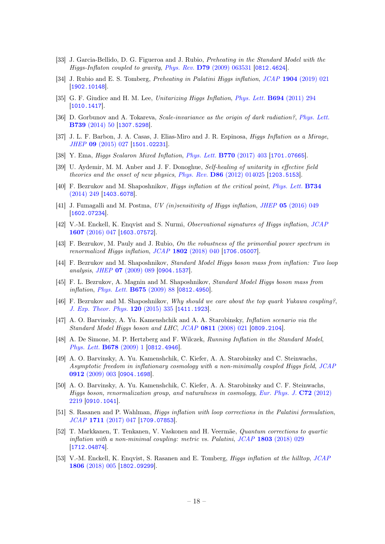- <span id="page-18-3"></span>[33] J. Garcia-Bellido, D. G. Figueroa and J. Rubio, Preheating in the Standard Model with the Higgs-Inflaton coupled to gravity, Phys. Rev. D79 [\(2009\) 063531](https://doi.org/10.1103/PhysRevD.79.063531) [[0812.4624](https://arxiv.org/abs/0812.4624)].
- <span id="page-18-0"></span>[34] J. Rubio and E. S. Tomberg, *Preheating in Palatini Higgs inflation, JCAP* 1904 [\(2019\) 021](https://doi.org/10.1088/1475-7516/2019/04/021) [[1902.10148](https://arxiv.org/abs/1902.10148)].
- <span id="page-18-1"></span>[35] G. F. Giudice and H. M. Lee, Unitarizing Higgs Inflation, [Phys. Lett.](https://doi.org/10.1016/j.physletb.2010.10.035) **B694** (2011) 294 [[1010.1417](https://arxiv.org/abs/1010.1417)].
- [36] D. Gorbunov and A. Tokareva, *Scale-invariance as the origin of dark radiation?*, *[Phys. Lett.](https://doi.org/10.1016/j.physletb.2014.10.036)* B739 [\(2014\) 50](https://doi.org/10.1016/j.physletb.2014.10.036) [[1307.5298](https://arxiv.org/abs/1307.5298)].
- <span id="page-18-5"></span>[37] J. L. F. Barbon, J. A. Casas, J. Elias-Miro and J. R. Espinosa, Higgs Inflation as a Mirage, JHEP 09 [\(2015\) 027](https://doi.org/10.1007/JHEP09(2015)027) [[1501.02231](https://arxiv.org/abs/1501.02231)].
- <span id="page-18-2"></span>[38] Y. Ema, Higgs Scalaron Mixed Inflation, [Phys. Lett.](https://doi.org/10.1016/j.physletb.2017.04.060) B770 (2017) 403 [[1701.07665](https://arxiv.org/abs/1701.07665)].
- <span id="page-18-4"></span>[39] U. Aydemir, M. M. Anber and J. F. Donoghue, Self-healing of unitarity in effective field theories and the onset of new physics, Phys. Rev. D86 [\(2012\) 014025](https://doi.org/10.1103/PhysRevD.86.014025) [[1203.5153](https://arxiv.org/abs/1203.5153)].
- <span id="page-18-6"></span>[40] F. Bezrukov and M. Shaposhnikov, Higgs inflation at the critical point, [Phys. Lett.](https://doi.org/10.1016/j.physletb.2014.05.074) B734 [\(2014\) 249](https://doi.org/10.1016/j.physletb.2014.05.074) [[1403.6078](https://arxiv.org/abs/1403.6078)].
- [41] J. Fumagalli and M. Postma, UV (in)sensitivity of Higgs inflation, JHEP 05 [\(2016\) 049](https://doi.org/10.1007/JHEP05(2016)049) [[1602.07234](https://arxiv.org/abs/1602.07234)].
- [42] V.-M. Enckell, K. Enqvist and S. Nurmi, Observational signatures of Higgs inflation, [JCAP](https://doi.org/10.1088/1475-7516/2016/07/047) 1607 [\(2016\) 047](https://doi.org/10.1088/1475-7516/2016/07/047) [[1603.07572](https://arxiv.org/abs/1603.07572)].
- <span id="page-18-7"></span>[43] F. Bezrukov, M. Pauly and J. Rubio, On the robustness of the primordial power spectrum in renormalized Higgs inflation, JCAP 1802 [\(2018\) 040](https://doi.org/10.1088/1475-7516/2018/02/040) [[1706.05007](https://arxiv.org/abs/1706.05007)].
- <span id="page-18-8"></span>[44] F. Bezrukov and M. Shaposhnikov, Standard Model Higgs boson mass from inflation: Two loop analysis, JHEP 07 [\(2009\) 089](https://doi.org/10.1088/1126-6708/2009/07/089) [[0904.1537](https://arxiv.org/abs/0904.1537)].
- <span id="page-18-15"></span>[45] F. L. Bezrukov, A. Magnin and M. Shaposhnikov, Standard Model Higgs boson mass from inflation, [Phys. Lett.](https://doi.org/10.1016/j.physletb.2009.03.035) B675 (2009) 88 [[0812.4950](https://arxiv.org/abs/0812.4950)].
- <span id="page-18-9"></span>[46] F. Bezrukov and M. Shaposhnikov, Why should we care about the top quark Yukawa coupling?, [J. Exp. Theor. Phys.](https://doi.org/10.1134/S1063776115030152) 120 (2015) 335 [[1411.1923](https://arxiv.org/abs/1411.1923)].
- <span id="page-18-10"></span>[47] A. O. Barvinsky, A. Yu. Kamenshchik and A. A. Starobinsky, Inflation scenario via the Standard Model Higgs boson and LHC, JCAP 0811 [\(2008\) 021](https://doi.org/10.1088/1475-7516/2008/11/021) [[0809.2104](https://arxiv.org/abs/0809.2104)].
- [48] A. De Simone, M. P. Hertzberg and F. Wilczek, Running Inflation in the Standard Model, [Phys. Lett.](https://doi.org/10.1016/j.physletb.2009.05.054) B678 (2009) 1 [[0812.4946](https://arxiv.org/abs/0812.4946)].
- [49] A. O. Barvinsky, A. Yu. Kamenshchik, C. Kiefer, A. A. Starobinsky and C. Steinwachs, Asymptotic freedom in inflationary cosmology with a non-minimally coupled Higgs field, [JCAP](https://doi.org/10.1088/1475-7516/2009/12/003) 0912 [\(2009\) 003](https://doi.org/10.1088/1475-7516/2009/12/003) [[0904.1698](https://arxiv.org/abs/0904.1698)].
- <span id="page-18-11"></span>[50] A. O. Barvinsky, A. Yu. Kamenshchik, C. Kiefer, A. A. Starobinsky and C. F. Steinwachs, Higgs boson, renormalization group, and naturalness in cosmology, [Eur. Phys. J.](https://doi.org/10.1140/epjc/s10052-012-2219-3) C72 (2012) [2219](https://doi.org/10.1140/epjc/s10052-012-2219-3) [[0910.1041](https://arxiv.org/abs/0910.1041)].
- <span id="page-18-12"></span>[51] S. Rasanen and P. Wahlman, Higgs inflation with loop corrections in the Palatini formulation, JCAP 1711 [\(2017\) 047](https://doi.org/10.1088/1475-7516/2017/11/047) [[1709.07853](https://arxiv.org/abs/1709.07853)].
- <span id="page-18-14"></span>[52] T. Markkanen, T. Tenkanen, V. Vaskonen and H. Veermäe, Quantum corrections to quartic inflation with a non-minimal coupling: metric vs. Palatini,  $JCAP$  1803 [\(2018\) 029](https://doi.org/10.1088/1475-7516/2018/03/029) [[1712.04874](https://arxiv.org/abs/1712.04874)].
- <span id="page-18-13"></span>[53] V.-M. Enckell, K. Enqvist, S. Rasanen and E. Tomberg, Higgs inflation at the hilltop, [JCAP](https://doi.org/10.1088/1475-7516/2018/06/005) 1806 [\(2018\) 005](https://doi.org/10.1088/1475-7516/2018/06/005) [[1802.09299](https://arxiv.org/abs/1802.09299)].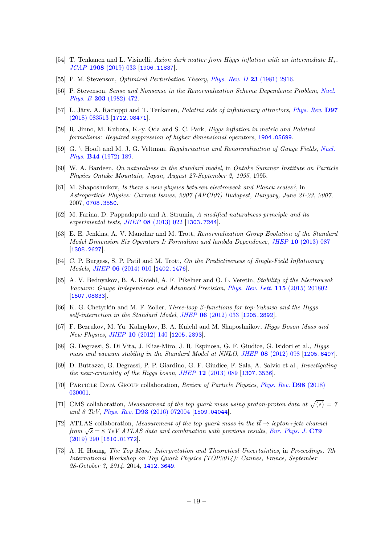- <span id="page-19-0"></span>[54] T. Tenkanen and L. Visinelli, Axion dark matter from Higgs inflation with an intermediate H∗, JCAP 1908 [\(2019\) 033](https://doi.org/10.1088/1475-7516/2019/08/033) [[1906.11837](https://arxiv.org/abs/1906.11837)].
- <span id="page-19-2"></span>[55] P. M. Stevenson, Optimized Perturbation Theory, [Phys. Rev. D](https://doi.org/10.1103/PhysRevD.23.2916) 23 (1981) 2916.
- <span id="page-19-3"></span>[56] P. Stevenson, Sense and Nonsense in the Renormalization Scheme Dependence Problem, [Nucl.](https://doi.org/10.1016/0550-3213(82)90325-X) Phys. B 203 [\(1982\) 472.](https://doi.org/10.1016/0550-3213(82)90325-X)
- <span id="page-19-4"></span>[57] L. Järv, A. Racioppi and T. Tenkanen, Palatini side of inflationary attractors, [Phys. Rev.](https://doi.org/10.1103/PhysRevD.97.083513) D97 [\(2018\) 083513](https://doi.org/10.1103/PhysRevD.97.083513) [[1712.08471](https://arxiv.org/abs/1712.08471)].
- <span id="page-19-5"></span>[58] R. Jinno, M. Kubota, K.-y. Oda and S. C. Park, Higgs inflation in metric and Palatini formalisms: Required suppression of higher dimensional operators, [1904.05699](https://arxiv.org/abs/1904.05699).
- <span id="page-19-1"></span>[59] G. 't Hooft and M. J. G. Veltman, Regularization and Renormalization of Gauge Fields, [Nucl.](https://doi.org/10.1016/0550-3213(72)90279-9) Phys. B44 [\(1972\) 189.](https://doi.org/10.1016/0550-3213(72)90279-9)
- <span id="page-19-6"></span>[60] W. A. Bardeen, On naturalness in the standard model, in Ontake Summer Institute on Particle Physics Ontake Mountain, Japan, August 27-September 2, 1995, 1995.
- [61] M. Shaposhnikov, Is there a new physics between electroweak and Planck scales?, in Astroparticle Physics: Current Issues, 2007 (APCI07) Budapest, Hungary, June 21-23, 2007, 2007, [0708.3550](https://arxiv.org/abs/0708.3550).
- <span id="page-19-7"></span>[62] M. Farina, D. Pappadopulo and A. Strumia, A modified naturalness principle and its experimental tests, JHEP 08 [\(2013\) 022](https://doi.org/10.1007/JHEP08(2013)022) [[1303.7244](https://arxiv.org/abs/1303.7244)].
- <span id="page-19-8"></span>[63] E. E. Jenkins, A. V. Manohar and M. Trott, Renormalization Group Evolution of the Standard Model Dimension Six Operators I: Formalism and lambda Dependence, JHEP 10 [\(2013\) 087](https://doi.org/10.1007/JHEP10(2013)087) [[1308.2627](https://arxiv.org/abs/1308.2627)].
- <span id="page-19-9"></span>[64] C. P. Burgess, S. P. Patil and M. Trott, On the Predictiveness of Single-Field Inflationary Models, JHEP 06 [\(2014\) 010](https://doi.org/10.1007/JHEP06(2014)010) [[1402.1476](https://arxiv.org/abs/1402.1476)].
- <span id="page-19-10"></span>[65] A. V. Bednyakov, B. A. Kniehl, A. F. Pikelner and O. L. Veretin, Stability of the Electroweak Vacuum: Gauge Independence and Advanced Precision, [Phys. Rev. Lett.](https://doi.org/10.1103/PhysRevLett.115.201802) 115 (2015) 201802 [[1507.08833](https://arxiv.org/abs/1507.08833)].
- <span id="page-19-11"></span>[66] K. G. Chetyrkin and M. F. Zoller, *Three-loop β-functions for top-Yukawa and the Higgs* self-interaction in the Standard Model, JHEP 06 [\(2012\) 033](https://doi.org/10.1007/JHEP06(2012)033) [[1205.2892](https://arxiv.org/abs/1205.2892)].
- <span id="page-19-12"></span>[67] F. Bezrukov, M. Yu. Kalmykov, B. A. Kniehl and M. Shaposhnikov, Higgs Boson Mass and New Physics, JHEP 10 [\(2012\) 140](https://doi.org/10.1007/JHEP10(2012)140) [[1205.2893](https://arxiv.org/abs/1205.2893)].
- [68] G. Degrassi, S. Di Vita, J. Elias-Miro, J. R. Espinosa, G. F. Giudice, G. Isidori et al., Higgs mass and vacuum stability in the Standard Model at NNLO, JHEP 08 [\(2012\) 098](https://doi.org/10.1007/JHEP08(2012)098) [[1205.6497](https://arxiv.org/abs/1205.6497)].
- <span id="page-19-13"></span>[69] D. Buttazzo, G. Degrassi, P. P. Giardino, G. F. Giudice, F. Sala, A. Salvio et al., Investigating the near-criticality of the Higgs boson, JHEP 12 [\(2013\) 089](https://doi.org/10.1007/JHEP12(2013)089) [[1307.3536](https://arxiv.org/abs/1307.3536)].
- <span id="page-19-14"></span>[70] Particle Data Group collaboration, Review of Particle Physics, [Phys. Rev.](https://doi.org/10.1103/PhysRevD.98.030001) D98 (2018) [030001.](https://doi.org/10.1103/PhysRevD.98.030001)
- <span id="page-19-15"></span>[71] CMS collaboration, Measurement of the top quark mass using proton-proton data at  $\sqrt{(s)} = 7$ and 8 TeV, Phys. Rev. D93 [\(2016\) 072004](https://doi.org/10.1103/PhysRevD.93.072004) [[1509.04044](https://arxiv.org/abs/1509.04044)].
- <span id="page-19-16"></span>[72] ATLAS collaboration, Measurement of the top quark mass in the  $t\bar{t} \rightarrow lepton+jets$  channel  $f_{\text{from}}$   $\sqrt{s}$  = 8 TeV ATLAS data and combination with previous results, [Eur. Phys. J.](https://doi.org/10.1140/epjc/s10052-019-6757-9) C79 [\(2019\) 290](https://doi.org/10.1140/epjc/s10052-019-6757-9) [[1810.01772](https://arxiv.org/abs/1810.01772)].
- <span id="page-19-17"></span>[73] A. H. Hoang, The Top Mass: Interpretation and Theoretical Uncertainties, in Proceedings, 7th International Workshop on Top Quark Physics (TOP2014): Cannes, France, September 28-October 3, 2014, 2014, [1412.3649](https://arxiv.org/abs/1412.3649).